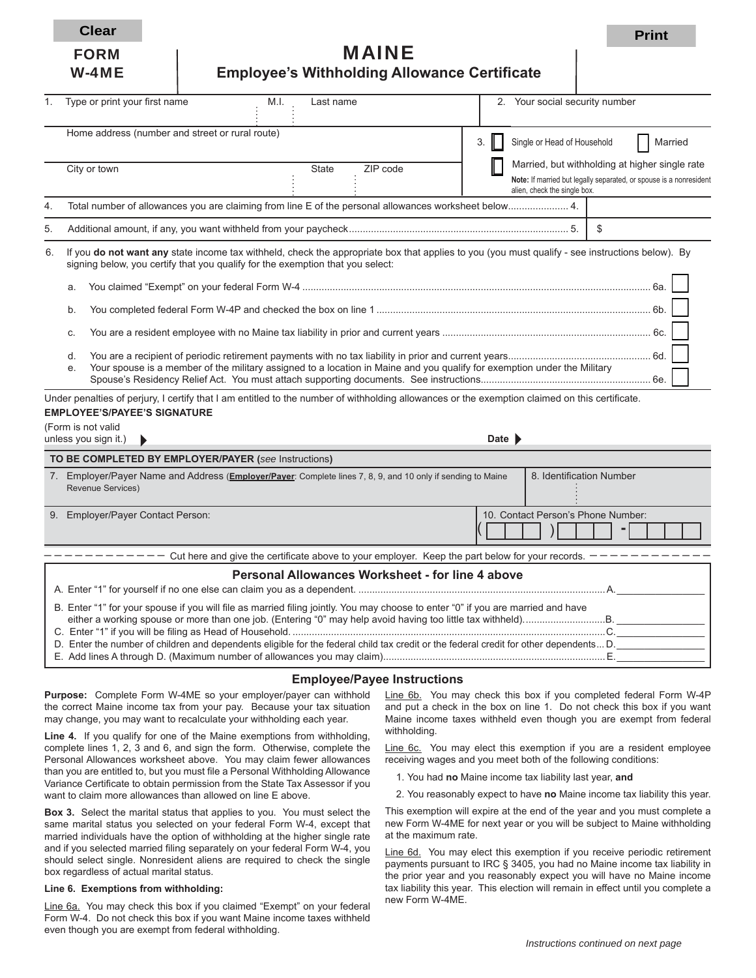**Clear Print** 

| <b>FORM</b> | <b>MAINE</b> |
|-------------|--------------|
|-------------|--------------|

| W-4ME | <b>Employee's Withholding Allowance Certificate</b> |
|-------|-----------------------------------------------------|
|       |                                                     |

| 1. | Type or print your first name                                                                                                                                                                                                     | M.I.                                                                                                                     | Last name |                                                  |    |                            | 2. Your social security number                                                                                                                       |     |         |  |
|----|-----------------------------------------------------------------------------------------------------------------------------------------------------------------------------------------------------------------------------------|--------------------------------------------------------------------------------------------------------------------------|-----------|--------------------------------------------------|----|----------------------------|------------------------------------------------------------------------------------------------------------------------------------------------------|-----|---------|--|
|    | Home address (number and street or rural route)                                                                                                                                                                                   |                                                                                                                          |           |                                                  | 3. |                            | Single or Head of Household                                                                                                                          |     | Married |  |
|    | City or town                                                                                                                                                                                                                      |                                                                                                                          | State     | ZIP code                                         |    |                            | Married, but withholding at higher single rate<br>Note: If married but legally separated, or spouse is a nonresident<br>alien, check the single box. |     |         |  |
| 4. | Total number of allowances you are claiming from line E of the personal allowances worksheet below 4.                                                                                                                             |                                                                                                                          |           |                                                  |    |                            |                                                                                                                                                      |     |         |  |
| 5. |                                                                                                                                                                                                                                   |                                                                                                                          |           |                                                  |    |                            |                                                                                                                                                      | \$  |         |  |
| 6. | If you do not want any state income tax withheld, check the appropriate box that applies to you (you must qualify - see instructions below). By<br>signing below, you certify that you qualify for the exemption that you select: |                                                                                                                          |           |                                                  |    |                            |                                                                                                                                                      |     |         |  |
|    | a.                                                                                                                                                                                                                                |                                                                                                                          |           |                                                  |    |                            |                                                                                                                                                      |     |         |  |
|    | b.                                                                                                                                                                                                                                |                                                                                                                          |           |                                                  |    |                            |                                                                                                                                                      |     |         |  |
|    | c.                                                                                                                                                                                                                                |                                                                                                                          |           |                                                  |    |                            |                                                                                                                                                      |     |         |  |
|    | d.<br>e.                                                                                                                                                                                                                          | Your spouse is a member of the military assigned to a location in Maine and you qualify for exemption under the Military |           |                                                  |    |                            |                                                                                                                                                      |     |         |  |
|    | Under penalties of perjury, I certify that I am entitled to the number of withholding allowances or the exemption claimed on this certificate.                                                                                    |                                                                                                                          |           |                                                  |    |                            |                                                                                                                                                      |     |         |  |
|    | <b>EMPLOYEE'S/PAYEE'S SIGNATURE</b>                                                                                                                                                                                               |                                                                                                                          |           |                                                  |    |                            |                                                                                                                                                      |     |         |  |
|    | (Form is not valid<br>unless you sign it.)<br>▶                                                                                                                                                                                   |                                                                                                                          |           |                                                  |    | Date $\blacktriangleright$ |                                                                                                                                                      |     |         |  |
|    | TO BE COMPLETED BY EMPLOYER/PAYER (see Instructions)                                                                                                                                                                              |                                                                                                                          |           |                                                  |    |                            |                                                                                                                                                      |     |         |  |
|    | 7. Employer/Payer Name and Address (Employer/Payer: Complete lines 7, 8, 9, and 10 only if sending to Maine<br><b>Revenue Services)</b>                                                                                           |                                                                                                                          |           |                                                  |    |                            | 8. Identification Number                                                                                                                             |     |         |  |
|    | 9. Employer/Payer Contact Person:                                                                                                                                                                                                 |                                                                                                                          |           |                                                  |    |                            | 10. Contact Person's Phone Number:                                                                                                                   |     |         |  |
|    |                                                                                                                                                                                                                                   | $- - - - -$ Cut here and give the certificate above to your employer. Keep the part below for your records. $-$          |           |                                                  |    |                            |                                                                                                                                                      |     |         |  |
|    |                                                                                                                                                                                                                                   |                                                                                                                          |           | Personal Allowances Worksheet - for line 4 above |    |                            |                                                                                                                                                      |     |         |  |
|    | B. Enter "1" for your spouse if you will file as married filing jointly. You may choose to enter "0" if you are married and have                                                                                                  |                                                                                                                          |           |                                                  |    |                            |                                                                                                                                                      | .C. |         |  |

| D. Enter the number of children and dependents eligible for the federal child tax credit or the federal credit for other dependents D. |
|----------------------------------------------------------------------------------------------------------------------------------------|
|----------------------------------------------------------------------------------------------------------------------------------------|

E. Add lines A through D. (Maximum number of allowances you may claim). ................................................................................E. \_\_\_\_\_\_\_\_\_\_\_\_\_\_\_\_

#### **Employee/Payee Instructions**

**Purpose:** Complete Form W-4ME so your employer/payer can withhold the correct Maine income tax from your pay. Because your tax situation may change, you may want to recalculate your withholding each year.

**Line 4.** If you qualify for one of the Maine exemptions from withholding, complete lines 1, 2, 3 and 6, and sign the form. Otherwise, complete the Personal Allowances worksheet above. You may claim fewer allowances than you are entitled to, but you must file a Personal Withholding Allowance Variance Certificate to obtain permission from the State Tax Assessor if you want to claim more allowances than allowed on line E above.

**Box 3.** Select the marital status that applies to you. You must select the same marital status you selected on your federal Form W-4, except that married individuals have the option of withholding at the higher single rate and if you selected married filing separately on your federal Form W-4, you should select single. Nonresident aliens are required to check the single box regardless of actual marital status.

#### **Line 6. Exemptions from withholding:**

Line 6a. You may check this box if you claimed "Exempt" on your federal Form W-4. Do not check this box if you want Maine income taxes withheld even though you are exempt from federal withholding.

Line 6b. You may check this box if you completed federal Form W-4P and put a check in the box on line 1. Do not check this box if you want Maine income taxes withheld even though you are exempt from federal withholding.

Line 6c. You may elect this exemption if you are a resident employee receiving wages and you meet both of the following conditions:

- 1. You had **no** Maine income tax liability last year, **and**
- 2. You reasonably expect to have **no** Maine income tax liability this year.

This exemption will expire at the end of the year and you must complete a new Form W-4ME for next year or you will be subject to Maine withholding at the maximum rate.

Line 6d. You may elect this exemption if you receive periodic retirement payments pursuant to IRC § 3405, you had no Maine income tax liability in the prior year and you reasonably expect you will have no Maine income tax liability this year. This election will remain in effect until you complete a new Form W-4ME.